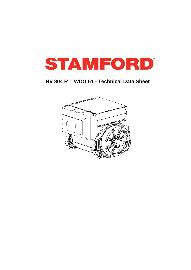

## **HV 804 R WDG 61 - Technical Data Sheet**

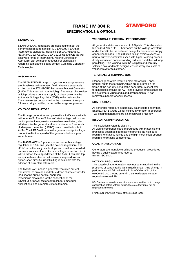## FRAME HV 804 R



### **SPECIFICATIONS & OPTIONS**

### **STANDARDS**

STAMFORD AC generators are designed to meet the performance requirements of IEC EN 60034-1. Other international standards, including BS5000, VDE 0530, NEMA MG1-32, AS1359, CSA C22.2, UL and CE; as well as a wide range of international Marine Certification Approvals, can be met on request. For clarification regarding compliance please contact Cummins Generator Technologies.

#### **DESCRIPTION**

.

The STAMFORD PI range of synchronous ac generators are brushless with a rotating field. They are separately excited by the STAMFORD Permanent Magnet Generator (PMG). This is a shaft mounted, high frequency, pilot exciter which provides a constant supply of clean power via the Automatic Voltage Regulator (AVR) to the main exciter. The main exciter output is fed to the main rotor, through a full wave bridge rectifier, protected by surge suppression.

#### **VOLTAGE REGULATORS**

The P range generators complete with a PMG are available with one AVR. The AVR has soft start voltage build up and built in protection against sustained over-excitation, which will de-excite the generator after a minimum of 8 seconds. Underspeed protection (UFRO) is also provided on both AVRs. The UFRO will reduce the generator output voltage proportional to the speed of the generator below a presettable level.

The **MA330 AVR** is 3 phase rms sensed with a voltage regulation of 0.5% rms (see the note on regulation). The UFRO circuit has adjustable slope and dwell for controlled recovery from step loads. An over voltage protection circuit will shutdown the output device of the AVR, it can also trip an optional excitation circuit breaker if required. As an option, short circuit current limiting is available with the addition of current transformers.

The MA330 AVR needs a generator mounted current transformer to provide quadrature droop characteristics for load sharing during parallel operation. Provision is also made for the connection of the STAMFORD power factor controller, for embedded applications, and a remote voltage trimmer.

### **WINDINGS & ELECTRICAL PERFORMANCE**

All generator stators are wound to 2/3 pitch. This eliminates triplen (3rd, 9th, 15th …) harmonics on the voltage waveform and is found to be the optimum design for trouble-free supply of non-linear loads. The 2/3 pitch design avoids excessive neutral currents sometimes seen with higher winding pitches. A fully connected damper winding reduces oscillations during paralleling. This winding, with the 2/3 pitch and carefully selected pole and tooth designs, ensures very low levels of voltage waveform distortion.

### **TERMINALS & TERMINAL BOX**

Standard generators feature a main stator with 6 ends brought out to the terminals, which are mounted on the frame at the non-drive end of the generator. A sheet steel terminal box contains the AVR and provides ample space for the customers' wiring and gland arrangements. It has removable panels for easy access.

### **SHAFT & KEYS**

All generator rotors are dynamically balanced to better than BS6861:Part 1 Grade 2.5 for minimum vibration in operation. Two bearing generators are balanced with a half key.

#### **INSULATION/IMPREGNATION**

The insulation system is class 'F'.

All wound components are impregnated with materials and processes designed specifically to provide the high build required for static windings and the high mechanical strength required for rotating components.

### **QUALITY ASSURANCE**

Generators are manufactured using production procedures having a quality assurance level to BS EN ISO 9001.

### **NOTE ON REGULATION**

The stated voltage regulation may not be maintained in the presence of certain radio transmitted signals. Any change in performance will fall within the limits of Criteria 'B' of EN 61000-6-2:2001. At no time will the steady-state voltage regulation exceed 2%.

NB Continuous development of our products entitles us to change specification details without notice, therefore they must not be regarded as binding.

Front cover drawing is typical of the product range.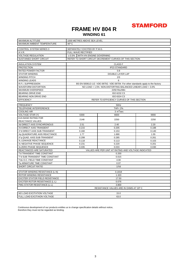# **STAMFORD**

## **FRAME HV 804 R WINDING 61**

| <b>MAXIMUM ALTITUDE</b>                | 1000 METRES ABOVE SEA LEVEL                                                    |                                                     |       |  |  |  |  |
|----------------------------------------|--------------------------------------------------------------------------------|-----------------------------------------------------|-------|--|--|--|--|
| MAXIMUM AMBIENT TEMPERATURE            | $40^{\circ}$ C                                                                 |                                                     |       |  |  |  |  |
| <b>CONTROL SYSTEM SERIES 3</b>         |                                                                                |                                                     |       |  |  |  |  |
|                                        | SEPARATELY EXCITED BY P.M.G.                                                   |                                                     |       |  |  |  |  |
| A.V.R.                                 | <b>FULL WAVE RECTIFIED</b>                                                     |                                                     |       |  |  |  |  |
| <b>VOLTAGE REGULATION</b>              | ± 0.5% WITH 4% ENGINE GOVERNING                                                |                                                     |       |  |  |  |  |
| SUSTAINED SHORT CIRCUIT                | REFER TO SHORT CIRCUIT DECREMENT CURVES OF THIS SECTION                        |                                                     |       |  |  |  |  |
| <b>INSULATION SYSTEM</b>               | <b>CLASS F</b>                                                                 |                                                     |       |  |  |  |  |
| <b>PROTECTION</b>                      | <b>IP23 STANDARD</b>                                                           |                                                     |       |  |  |  |  |
| RATED POWER FACTOR                     | 0.8                                                                            |                                                     |       |  |  |  |  |
| <b>STATOR WINDING</b>                  | DOUBLE LAYER LAP                                                               |                                                     |       |  |  |  |  |
| WINDING PITCH                          | 2/3                                                                            |                                                     |       |  |  |  |  |
| WINDING LEADS                          | 6                                                                              |                                                     |       |  |  |  |  |
| R.F.I. SUPPRESSION                     | BS EN 50081/2-1/2 VDE 0875G VDE 0875N For other standards apply to the factory |                                                     |       |  |  |  |  |
| WAVEFORM DISTORTION                    | NO LOAD < 1.5% NON-DISTORTING BALANCED LINEAR LOAD < 3.0%                      |                                                     |       |  |  |  |  |
| <b>MAXIMUM OVERSPEED</b>               |                                                                                | 2250 Rev/Min                                        |       |  |  |  |  |
| <b>BEARING DRIVE END</b>               |                                                                                | ISO 6232 C3                                         |       |  |  |  |  |
| BEARING NON DRIVE END                  |                                                                                | ISO 6324 C3                                         |       |  |  |  |  |
| <b>EFFICIENCY</b>                      |                                                                                | REFER TO EFFICIENCY CURVES OF THIS SECTION          |       |  |  |  |  |
|                                        |                                                                                |                                                     |       |  |  |  |  |
| <b>FREQUENCY</b>                       |                                                                                | 50Hz                                                |       |  |  |  |  |
| TELEPHONE INTERFERENCE                 | THF< 2%                                                                        |                                                     |       |  |  |  |  |
| <b>COOLING AIR</b>                     | 3 m <sup>3</sup> /sec                                                          |                                                     |       |  |  |  |  |
| <b>VOLTAGE STAR (Y)</b>                | 6300                                                                           | 6600                                                | 6900  |  |  |  |  |
| <b>KVA BASE RATING FOR</b>             | 2148                                                                           | 2250                                                | 2250  |  |  |  |  |
| REACTANCE VALUES                       |                                                                                |                                                     |       |  |  |  |  |
| Xd DIRECT AXIS SYNCHRONOUS             | 2.51                                                                           | 2.40                                                | 2.20  |  |  |  |  |
| X'd DIRECT AXIS TRANSIENT              | 0.215                                                                          | 0.205                                               | 0.188 |  |  |  |  |
| X"d DIRECT AXIS SUB-TRANSIENT          | 0.160                                                                          | 0.153                                               | 0.140 |  |  |  |  |
| Xq QUADRATURE AXIS REACTANCE           | 1.77                                                                           | 1.690                                               | 1.55  |  |  |  |  |
| X"q QUAD. AXIS SUB-TRANSIENT           | 0.299                                                                          | 0.285                                               | 0.261 |  |  |  |  |
| XL LEAKAGE REACTANCE                   | 0.118                                                                          | 0.113                                               | 0.103 |  |  |  |  |
| X <sub>2</sub> NEGATIVE PHASE SEQUENCE | 0.231                                                                          | 0.220                                               | 0.201 |  |  |  |  |
| X <sub>0</sub> ZERO PHASE SEQUENCE     | 0.035                                                                          | 0.033                                               | 0.030 |  |  |  |  |
| REACTANCES ARE SATURATED               |                                                                                | VALUES ARE PER UNIT AT RATING AND VOLTAGE INDICATED |       |  |  |  |  |
| T'd TRANSIENT TIME CONSTANT            | 0.200                                                                          |                                                     |       |  |  |  |  |
| T"d SUB-TRANSIENT TIME CONSTANT        | 0.015                                                                          |                                                     |       |  |  |  |  |
| T'do O.C. FIELD TIME CONSTANT          | 4.00                                                                           |                                                     |       |  |  |  |  |
| Ta ARMATURE TIME CONSTANT              | 0.07                                                                           |                                                     |       |  |  |  |  |
| <b>SHORT CIRCUIT RATIO</b>             | 1/Xd                                                                           |                                                     |       |  |  |  |  |
|                                        |                                                                                |                                                     |       |  |  |  |  |
| STATOR WINDING RESISTANCE (L-N)        | 0.1818                                                                         |                                                     |       |  |  |  |  |
| <b>ROTOR WINDING RESISTANCE</b>        | 1.320                                                                          |                                                     |       |  |  |  |  |
| EXCITER STATOR FIELD RESISTANCE        | 17.50                                                                          |                                                     |       |  |  |  |  |
| <b>EXCITER ROTOR RESISTANCE (L-L)</b>  | 0.076                                                                          |                                                     |       |  |  |  |  |
| PMG STATOR RESISTANCE (L-L)            | 3.800                                                                          |                                                     |       |  |  |  |  |
|                                        | RESISTANCE VALUES ARE IN OHMS AT 20° C                                         |                                                     |       |  |  |  |  |
| NO LOAD EXCITATION VOLTAGE             |                                                                                | 15.0                                                |       |  |  |  |  |
| FULL LOAD EXCITAION VOLTAGE            |                                                                                | 63.0                                                |       |  |  |  |  |
|                                        |                                                                                |                                                     |       |  |  |  |  |

Continuous development of our products entitles us to change specification details without notice, therefore they must not be regarded as binding.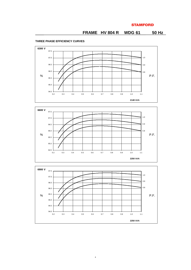# **STAMFORD**

# **FRAME HV 804 R WDG 61 50 Hz**

## **THREE PHASE EFFICIENCY CURVES**

**2250 kVA**





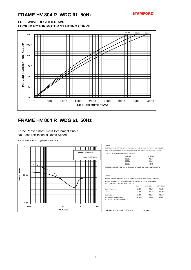# **FRAME HV 804 R WDG 61 50Hz**

# **FULL WAVE RECTIFIED AVR LOCKED ROTOR MOTOR STARTING CURVE**

# **FRAME HV 804 R WDG 61 50Hz**

## Three Phase Short Circuit Decrement Curve No- Load Excitation at Rated Speed

Based on series star (wye) connection

THE FOLLOWING MULTIPLICATION FACTORS SHOULD BE USED TO ADJUST THE VALUES FROM CURVES BETWEEN THE 0.001 SECONDS AND THE MINIMUM CURRENT POINT IN

#### RESPECT OF NOMINAL OPERATING VOLTAGE

| <b>VOLTAGE</b> | <b>FACTOR</b>     |
|----------------|-------------------|
| 6300V          | X 0.95            |
| 6600V          | $X$ 1.00          |
| 6900V          | X <sub>1.05</sub> |

THE SUSTAINED CURRENT VALUE IS CONSTANT IRRESPECTIVE OF VOLTAGE LEVEL

### NOTE 2



THE FOLLOWING MULTIPLICATION FACTORS SHOULD BE USED TO CONVERT THE VALUES CALCULATED IN ACCORDANCE WITH NOTE 1 TO THOSE APPLICABLE TO THE VARIOUS TYPES OF SHORT CIRCUIT

|                               | 3 PHASE       | 2 PHASE L-L | 1 PHASE L-N |
|-------------------------------|---------------|-------------|-------------|
| <b>INSTANTANEOUS</b>          | $X$ 1.0       | X 0.87      | X 1.30      |
| <b>MINIMUM</b>                | $X$ 1.0       | X 1.80      | X 3.20      |
| <b>SUSTAINED</b>              | $X$ 1.0       | X 1.50      | X 2.50      |
| <b>MAX SUSTAINED DURATION</b> | <b>10 SEC</b> | 5 SEC       | 2 SEC       |
| ALL OTHER TIMES ARE UNCHANGED |               |             |             |

SUSTAINED SHORT CIRCUIT = 718 Amps